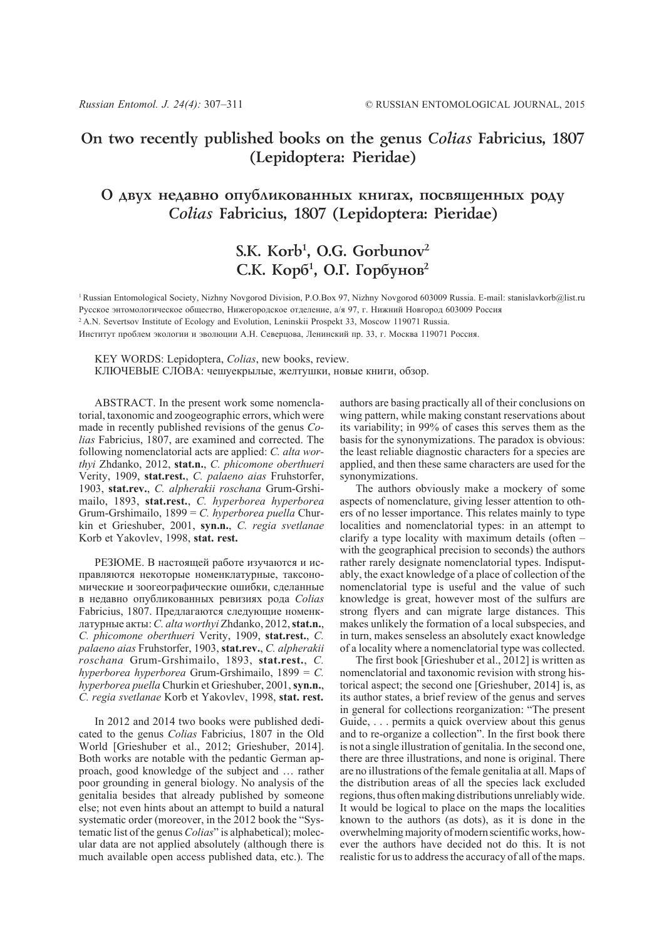## **On two recently published books on the genus** *Colias* **Fabricius, 1807 (Lepidoptera: Pieridae)**

## О двух недавно опубликованных книгах, посвященных роду *Colias* **Fabricius, 1807 (Lepidoptera: Pieridae)**

# **S.K. Korb1 , O.G. Gorbunov2** С.К. Корб<sup>1</sup>, О.Г. Горбунов<sup>2</sup>

1 Russian Entomological Society, Nizhny Novgorod Division, P.O.Box 97, Nizhny Novgorod 603009 Russia. E-mail: stanislavkorb@list.ru Русское энтомологическое общество, Нижегородское отделение, а/я 97, г. Нижний Новгород 603009 Россия

<sup>2</sup> A.N. Severtsov Institute of Ecology and Evolution, Leninskii Prospekt 33, Moscow 119071 Russia.

Институт проблем экологии и эволюции А.Н. Северцова, Ленинский пр. 33, г. Москва 119071 Россия.

KEY WORDS: Lepidoptera, *Colias*, new books, review.

КЛЮЧЕВЫЕ СЛОВА: чешуекрылые, желтушки, новые книги, обзор.

ABSTRACT. In the present work some nomenclatorial, taxonomic and zoogeographic errors, which were made in recently published revisions of the genus *Colias* Fabricius, 1807, are examined and corrected. The following nomenclatorial acts are applied: *C. alta worthyi* Zhdanko, 2012, **stat.n.**, *C. phicomone oberthueri* Verity, 1909, **stat.rest.**, *C. palaeno aias* Fruhstorfer, 1903, **stat.rev.**, *C. alpherakii roschana* Grum-Grshimailo, 1893, **stat.rest.**, *C. hyperborea hyperborea* Grum-Grshimailo, 1899 = *C. hyperborea puella* Churkin et Grieshuber, 2001, **syn.n.**, *C. regia svetlanae* Korb et Yakovlev, 1998, **stat. rest.**

РЕЗЮМЕ. В настоящей работе изучаются и исправляются некоторые номенклатурные, таксономические и зоогеографические ошибки, сделанные в недавно опубликованных ревизиях рода *Colias* Fabricius, 1807. Предлагаются следующие номенклатурные акты: *C. alta worthyi* Zhdanko, 2012, **stat.n.**, *C. phicomone oberthueri* Verity, 1909, **stat.rest.**, *C. palaeno aias* Fruhstorfer, 1903, **stat.rev.**, *C. alpherakii roschana* Grum-Grshimailo, 1893, **stat.rest.**, *С. hyperborea hyperborea* Grum-Grshimailo, 1899 = *С. hyperborea puella* Churkin et Grieshuber, 2001, **syn.n.**, *C. regia svetlanae* Korb et Yakovlev, 1998, **stat. rest.**

In 2012 and 2014 two books were published dedicated to the genus *Colias* Fabricius, 1807 in the Old World [Grieshuber et al., 2012; Grieshuber, 2014]. Both works are notable with the pedantic German approach, good knowledge of the subject and … rather poor grounding in general biology. No analysis of the genitalia besides that already published by someone else; not even hints about an attempt to build a natural systematic order (moreover, in the 2012 book the "Systematic list of the genus *Colias*" is alphabetical); molecular data are not applied absolutely (although there is much available open access published data, etc.). The

authors are basing practically all of their conclusions on wing pattern, while making constant reservations about its variability; in 99% of cases this serves them as the basis for the synonymizations. The paradox is obvious: the least reliable diagnostic characters for a species are applied, and then these same characters are used for the synonymizations.

The authors obviously make a mockery of some aspects of nomenclature, giving lesser attention to others of no lesser importance. This relates mainly to type localities and nomenclatorial types: in an attempt to clarify a type locality with maximum details (often – with the geographical precision to seconds) the authors rather rarely designate nomenclatorial types. Indisputably, the exact knowledge of a place of collection of the nomenclatorial type is useful and the value of such knowledge is great, however most of the sulfurs are strong flyers and can migrate large distances. This makes unlikely the formation of a local subspecies, and in turn, makes senseless an absolutely exact knowledge of a locality where a nomenclatorial type was collected.

The first book [Grieshuber et al., 2012] is written as nomenclatorial and taxonomic revision with strong historical aspect; the second one [Grieshuber, 2014] is, as its author states, a brief review of the genus and serves in general for collections reorganization: "The present Guide, . . . permits a quick overview about this genus and to re-organize a collection". In the first book there is not a single illustration of genitalia. In the second one, there are three illustrations, and none is original. There are no illustrations of the female genitalia at all. Maps of the distribution areas of all the species lack excluded regions, thus often making distributions unreliably wide. It would be logical to place on the maps the localities known to the authors (as dots), as it is done in the overwhelming majority of modern scientific works, however the authors have decided not do this. It is not realistic for us to address the accuracy of all of the maps.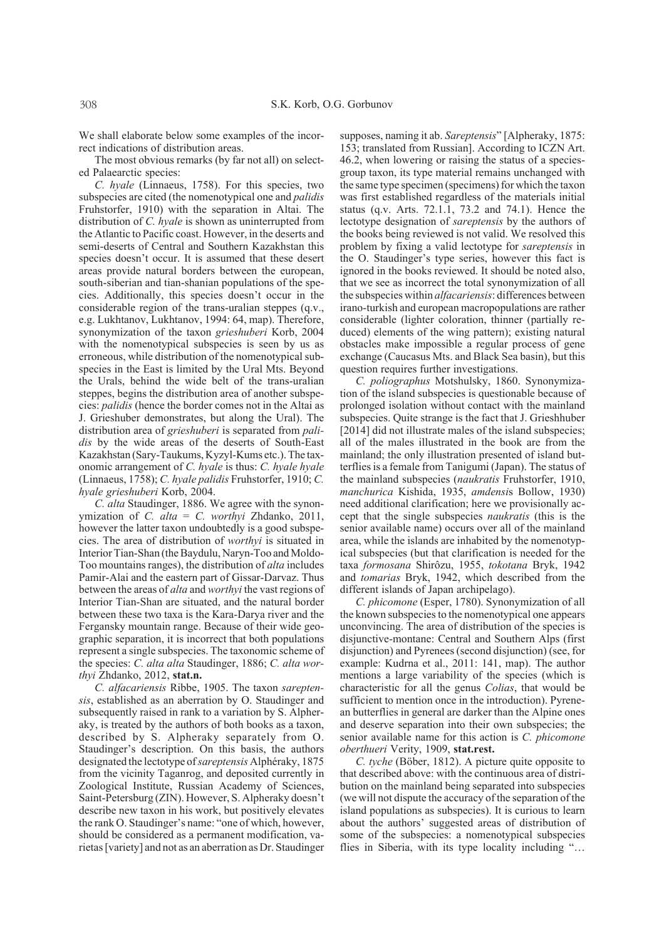We shall elaborate below some examples of the incorrect indications of distribution areas.

The most obvious remarks (by far not all) on selected Palaearctic species:

*C. hyale* (Linnaeus, 1758). For this species, two subspecies are cited (the nomenotypical one and *palidis* Fruhstorfer, 1910) with the separation in Altai. The distribution of *C. hyale* is shown as uninterrupted from the Atlantic to Pacific coast. However, in the deserts and semi-deserts of Central and Southern Kazakhstan this species doesn't occur. It is assumed that these desert areas provide natural borders between the european, south-siberian and tian-shanian populations of the species. Additionally, this species doesn't occur in the considerable region of the trans-uralian steppes (q.v., e.g. Lukhtanov, Lukhtanov, 1994: 64, map). Therefore, synonymization of the taxon *grieshuberi* Korb, 2004 with the nomenotypical subspecies is seen by us as erroneous, while distribution of the nomenotypical subspecies in the East is limited by the Ural Mts. Beyond the Urals, behind the wide belt of the trans-uralian steppes, begins the distribution area of another subspecies: *palidis* (hence the border comes not in the Altai as J. Grieshuber demonstrates, but along the Ural). The distribution area of *grieshuberi* is separated from *palidis* by the wide areas of the deserts of South-East Kazakhstan (Sary-Taukums, Kyzyl-Kums etc.). The taxonomic arrangement of *C. hyale* is thus: *C. hyale hyale* (Linnaeus, 1758); *C. hyale palidis* Fruhstorfer, 1910; *C. hyale grieshuberi* Korb, 2004.

*C. alta* Staudinger, 1886. We agree with the synonymization of *C. alta* = *C. worthyi* Zhdanko, 2011, however the latter taxon undoubtedly is a good subspecies. The area of distribution of *worthyi* is situated in Interior Tian-Shan (the Baydulu, Naryn-Too and Moldo-Too mountains ranges), the distribution of *alta* includes Pamir-Alai and the eastern part of Gissar-Darvaz. Thus between the areas of *alta* and *worthyi* the vast regions of Interior Tian-Shan are situated, and the natural border between these two taxa is the Kara-Darya river and the Fergansky mountain range. Because of their wide geographic separation, it is incorrect that both populations represent a single subspecies. The taxonomic scheme of the species: *C. alta alta* Staudinger, 1886; *C. alta worthyi* Zhdanko, 2012, **stat.n.**

*C. alfacariensis* Ribbe, 1905. The taxon *sareptensis*, established as an aberration by O. Staudinger and subsequently raised in rank to a variation by S. Alpheraky, is treated by the authors of both books as a taxon, described by S. Alpheraky separately from O. Staudinger's description. On this basis, the authors designated the lectotype of *sareptensis* Alphéraky, 1875 from the vicinity Taganrog, and deposited currently in Zoological Institute, Russian Academy of Sciences, Saint-Petersburg (ZIN). However, S. Alpheraky doesn't describe new taxon in his work, but positively elevates the rank O. Staudinger's name: "one of which, however, should be considered as a permanent modification, varietas [variety] and not as an aberration as Dr. Staudinger

supposes, naming it ab. *Sareptensis*" [Alpheraky, 1875: 153; translated from Russian]. According to ICZN Art. 46.2, when lowering or raising the status of a speciesgroup taxon, its type material remains unchanged with the same type specimen (specimens) for which the taxon was first established regardless of the materials initial status (q.v. Arts. 72.1.1, 73.2 and 74.1). Hence the lectotype designation of *sareptensis* by the authors of the books being reviewed is not valid. We resolved this problem by fixing a valid lectotype for *sareptensis* in the O. Staudinger's type series, however this fact is ignored in the books reviewed. It should be noted also, that we see as incorrect the total synonymization of all the subspecies within *alfacariensis*: differences between irano-turkish and european macropopulations are rather considerable (lighter coloration, thinner (partially reduced) elements of the wing pattern); existing natural obstacles make impossible a regular process of gene exchange (Caucasus Mts. and Black Sea basin), but this question requires further investigations.

*C. poliographus* Motshulsky, 1860. Synonymization of the island subspecies is questionable because of prolonged isolation without contact with the mainland subspecies. Quite strange is the fact that J. Grieshhuber [2014] did not illustrate males of the island subspecies; all of the males illustrated in the book are from the mainland; the only illustration presented of island butterflies is a female from Tanigumi (Japan). The status of the mainland subspecies (*naukratis* Fruhstorfer, 1910, *manchurica* Kishida, 1935, *amdensi*s Bollow, 1930) need additional clarification; here we provisionally accept that the single subspecies *naukratis* (this is the senior available name) occurs over all of the mainland area, while the islands are inhabited by the nomenotypical subspecies (but that clarification is needed for the taxa *formosana* Shirôzu, 1955, *tokotana* Bryk, 1942 and *tomarias* Bryk, 1942, which described from the different islands of Japan archipelago).

*C. phicomone* (Esper, 1780). Synonymization of all the known subspecies to the nomenotypical one appears unconvincing. The area of distribution of the species is disjunctive-montane: Central and Southern Alps (first disjunction) and Pyrenees (second disjunction) (see, for example: Kudrna et al., 2011: 141, map). The author mentions a large variability of the species (which is characteristic for all the genus *Colias*, that would be sufficient to mention once in the introduction). Pyrenean butterflies in general are darker than the Alpine ones and deserve separation into their own subspecies; the senior available name for this action is *C. phicomone oberthueri* Verity, 1909, **stat.rest.**

*C. tyche* (Böber, 1812). A picture quite opposite to that described above: with the continuous area of distribution on the mainland being separated into subspecies (we will not dispute the accuracy of the separation of the island populations as subspecies). It is curious to learn about the authors' suggested areas of distribution of some of the subspecies: a nomenotypical subspecies flies in Siberia, with its type locality including "…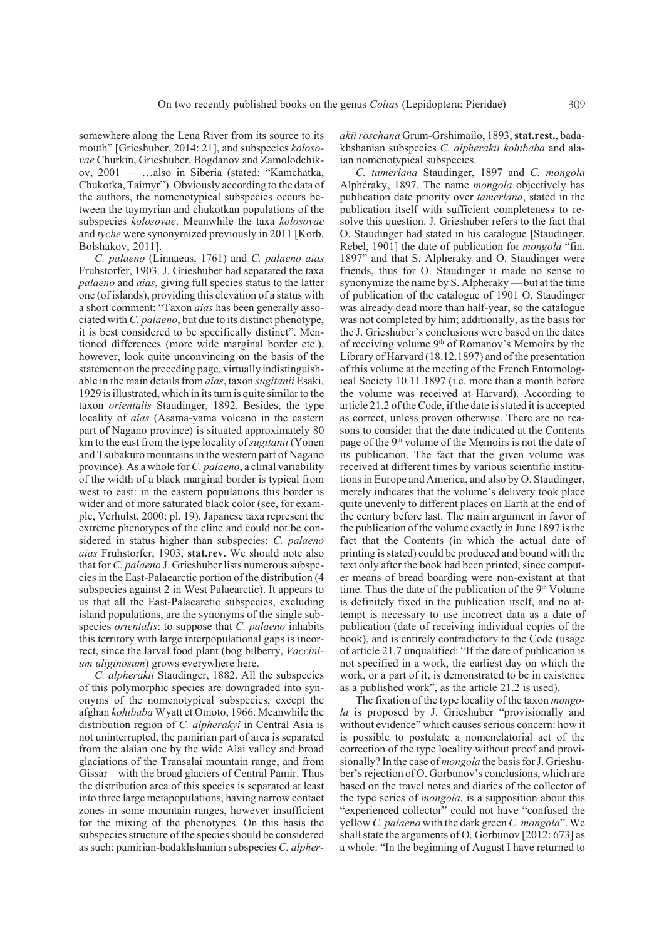somewhere along the Lena River from its source to its mouth" [Grieshuber, 2014: 21], and subspecies *kolosovae* Churkin, Grieshuber, Bogdanov and Zamolodchikov, 2001 — …also in Siberia (stated: "Kamchatka, Chukotka, Taimyr"). Obviously according to the data of the authors, the nomenotypical subspecies occurs between the taymyrian and chukotkan populations of the subspecies *kolosovae*. Meanwhile the taxa *kolosovae* and *tyche* were synonymized previously in 2011 [Korb, Bolshakov, 2011].

*C. palaeno* (Linnaeus, 1761) and *C. palaeno aias* Fruhstorfer, 1903. J. Grieshuber had separated the taxa *palaeno* and *aias*, giving full species status to the latter one (of islands), providing this elevation of a status with a short comment: "Taxon *aias* has been generally associated with *C. palaeno*, but due to its distinct phenotype, it is best considered to be specifically distinct". Mentioned differences (more wide marginal border etc.), however, look quite unconvincing on the basis of the statement on the preceding page, virtually indistinguishable in the main details from *aias*, taxon *sugitanii* Esaki, 1929 is illustrated, which in its turn is quite similar to the taxon *orientalis* Staudinger, 1892. Besides, the type locality of *aias* (Asama-yama volcano in the eastern part of Nagano province) is situated approximately 80 km to the east from the type locality of *sugitanii* (Yonen and Tsubakuro mountains in the western part of Nagano province). As a whole for *C. palaeno*, a clinal variability of the width of a black marginal border is typical from west to east: in the eastern populations this border is wider and of more saturated black color (see, for example, Verhulst, 2000: pl. 19). Japanese taxa represent the extreme phenotypes of the cline and could not be considered in status higher than subspecies: *C. palaeno aias* Fruhstorfer, 1903, **stat.rev.** We should note also that for *C. palaeno* J. Grieshuber lists numerous subspecies in the East-Palaearctic portion of the distribution (4 subspecies against 2 in West Palaearctic). It appears to us that all the East-Palaearctic subspecies, excluding island populations, are the synonyms of the single subspecies *orientalis*: to suppose that *C. palaeno* inhabits this territory with large interpopulational gaps is incorrect, since the larval food plant (bog bilberry, *Vaccinium uliginosum*) grows everywhere here.

*C. alpherakii* Staudinger, 1882. All the subspecies of this polymorphic species are downgraded into synonyms of the nomenotypical subspecies, except the afghan *kohibaba* Wyatt et Omoto, 1966. Meanwhile the distribution region of *C. alpherakyi* in Central Asia is not uninterrupted, the pamirian part of area is separated from the alaian one by the wide Alai valley and broad glaciations of the Transalai mountain range, and from Gissar – with the broad glaciers of Central Pamir. Thus the distribution area of this species is separated at least into three large metapopulations, having narrow contact zones in some mountain ranges, however insufficient for the mixing of the phenotypes. On this basis the subspecies structure of the species should be considered as such: pamirian-badakhshanian subspecies *C. alpher-* *akii roschana* Grum-Grshimailo, 1893, **stat.rest.**, badakhshanian subspecies *C. alpherakii kohibaba* and alaian nomenotypical subspecies.

*C. tamerlana* Staudinger, 1897 and *C. mongola* Alphéraky, 1897. The name *mongola* objectively has publication date priority over *tamerlana*, stated in the publication itself with sufficient completeness to resolve this question. J. Grieshuber refers to the fact that O. Staudinger had stated in his catalogue [Staudinger, Rebel, 1901] the date of publication for *mongola* "fin. 1897" and that S. Alpheraky and O. Staudinger were friends, thus for O. Staudinger it made no sense to synonymize the name by S. Alpheraky — but at the time of publication of the catalogue of 1901 O. Staudinger was already dead more than half-year, so the catalogue was not completed by him; additionally, as the basis for the J. Grieshuber's conclusions were based on the dates of receiving volume  $9<sup>th</sup>$  of Romanov's Memoirs by the Library of Harvard (18.12.1897) and of the presentation of this volume at the meeting of the French Entomological Society 10.11.1897 (i.e. more than a month before the volume was received at Harvard). According to article 21.2 of the Code, if the date is stated it is accepted as correct, unless proven otherwise. There are no reasons to consider that the date indicated at the Contents page of the 9<sup>th</sup> volume of the Memoirs is not the date of its publication. The fact that the given volume was received at different times by various scientific institutions in Europe and America, and also by O. Staudinger, merely indicates that the volume's delivery took place quite unevenly to different places on Earth at the end of the century before last. The main argument in favor of the publication of the volume exactly in June 1897 is the fact that the Contents (in which the actual date of printing is stated) could be produced and bound with the text only after the book had been printed, since computer means of bread boarding were non-existant at that time. Thus the date of the publication of the  $9<sup>th</sup>$  Volume is definitely fixed in the publication itself, and no attempt is necessary to use incorrect data as a date of publication (date of receiving individual copies of the book), and is entirely contradictory to the Code (usage of article 21.7 unqualified: "If the date of publication is not specified in a work, the earliest day on which the work, or a part of it, is demonstrated to be in existence as a published work", as the article 21.2 is used).

The fixation of the type locality of the taxon *mongola* is proposed by J. Grieshuber "provisionally and without evidence" which causes serious concern: how it is possible to postulate a nomenclatorial act of the correction of the type locality without proof and provisionally? In the case of *mongola* the basis for J. Grieshuber's rejection of O. Gorbunov's conclusions, which are based on the travel notes and diaries of the collector of the type series of *mongola*, is a supposition about this "experienced collector" could not have "confused the yellow *C. palaeno* with the dark green *C. mongola*". We shall state the arguments of O. Gorbunov [2012: 673] as a whole: "In the beginning of August I have returned to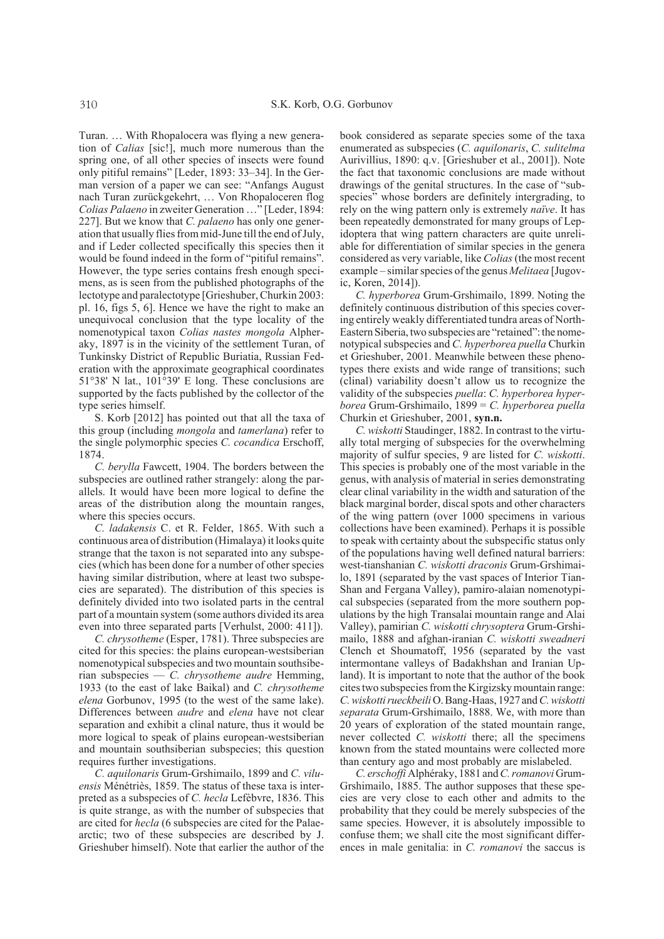Turan. … With Rhopalocera was flying a new generation of *Calias* [sic!], much more numerous than the spring one, of all other species of insects were found only pitiful remains" [Leder, 1893: 33–34]. In the German version of a paper we can see: "Anfangs August nach Turan zurückgekehrt, … Von Rhopaloceren flog *Colias Palaeno* in zweiter Generation …" [Leder, 1894: 227]. But we know that *C. palaeno* has only one generation that usually flies from mid-June till the end of July, and if Leder collected specifically this species then it would be found indeed in the form of "pitiful remains". However, the type series contains fresh enough specimens, as is seen from the published photographs of the lectotype and paralectotype [Grieshuber, Churkin 2003: pl. 16, figs 5, 6]. Hence we have the right to make an unequivocal conclusion that the type locality of the nomenotypical taxon *Colias nastes mongola* Alpheraky, 1897 is in the vicinity of the settlement Turan, of Tunkinsky District of Republic Buriatia, Russian Federation with the approximate geographical coordinates 51°38' N lat., 101°39' E long. These conclusions are supported by the facts published by the collector of the type series himself.

S. Korb [2012] has pointed out that all the taxa of this group (including *mongola* and *tamerlana*) refer to the single polymorphic species *C. cocandica* Erschoff, 1874.

*C. berylla* Fawcett, 1904. The borders between the subspecies are outlined rather strangely: along the parallels. It would have been more logical to define the areas of the distribution along the mountain ranges, where this species occurs.

*C. ladakensis* C. et R. Felder, 1865. With such a continuous area of distribution (Himalaya) it looks quite strange that the taxon is not separated into any subspecies (which has been done for a number of other species having similar distribution, where at least two subspecies are separated). The distribution of this species is definitely divided into two isolated parts in the central part of a mountain system (some authors divided its area even into three separated parts [Verhulst, 2000: 411]).

*C. chrysotheme* (Esper, 1781). Three subspecies are cited for this species: the plains european-westsiberian nomenotypical subspecies and two mountain southsiberian subspecies — *C. chrysotheme audre* Hemming, 1933 (to the east of lake Baikal) and *C. chrysotheme elena* Gorbunov, 1995 (to the west of the same lake). Differences between *audre* and *elena* have not clear separation and exhibit a clinal nature, thus it would be more logical to speak of plains european-westsiberian and mountain southsiberian subspecies; this question requires further investigations.

*C. aquilonaris* Grum-Grshimailo, 1899 and *C. viluensis* Ménétriès, 1859. The status of these taxa is interpreted as a subspecies of *C. hecla* Lefèbvre, 1836. This is quite strange, as with the number of subspecies that are cited for *hecla* (6 subspecies are cited for the Palaearctic; two of these subspecies are described by J. Grieshuber himself). Note that earlier the author of the book considered as separate species some of the taxa enumerated as subspecies (*C. aquilonaris*, *C. sulitelma* Aurivillius, 1890: q.v. [Grieshuber et al., 2001]). Note the fact that taxonomic conclusions are made without drawings of the genital structures. In the case of "subspecies" whose borders are definitely intergrading, to rely on the wing pattern only is extremely *naïve*. It has been repeatedly demonstrated for many groups of Lepidoptera that wing pattern characters are quite unreliable for differentiation of similar species in the genera considered as very variable, like *Colias* (the most recent example – similar species of the genus *Melitaea* [Jugovic, Koren, 2014]).

*C. hyperborea* Grum-Grshimailo, 1899. Noting the definitely continuous distribution of this species covering entirely weakly differentiated tundra areas of North-Eastern Siberia, two subspecies are "retained": the nomenotypical subspecies and *C. hyperborea puella* Churkin et Grieshuber, 2001. Meanwhile between these phenotypes there exists and wide range of transitions; such (clinal) variability doesn't allow us to recognize the validity of the subspecies *puella*: *C. hyperborea hyperborea* Grum-Grshimailo, 1899 = *C. hyperborea puella* Churkin et Grieshuber, 2001, **syn.n.**

*C. wiskotti* Staudinger, 1882. In contrast to the virtually total merging of subspecies for the overwhelming majority of sulfur species, 9 are listed for *C. wiskotti*. This species is probably one of the most variable in the genus, with analysis of material in series demonstrating clear clinal variability in the width and saturation of the black marginal border, discal spots and other characters of the wing pattern (over 1000 specimens in various collections have been examined). Perhaps it is possible to speak with certainty about the subspecific status only of the populations having well defined natural barriers: west-tianshanian *C. wiskotti draconis* Grum-Grshimailo, 1891 (separated by the vast spaces of Interior Tian-Shan and Fergana Valley), pamiro-alaian nomenotypical subspecies (separated from the more southern populations by the high Transalai mountain range and Alai Valley), pamirian *C. wiskotti chrysoptera* Grum-Grshimailo, 1888 and afghan-iranian *C. wiskotti sweadneri* Clench et Shoumatoff, 1956 (separated by the vast intermontane valleys of Badakhshan and Iranian Upland). It is important to note that the author of the book cites two subspecies from the Kirgizsky mountain range: *C. wiskottirueckbeili* O. Bang-Haas, 1927 and *C. wiskotti separata* Grum-Grshimailo, 1888. We, with more than 20 years of exploration of the stated mountain range, never collected *C. wiskotti* there; all the specimens known from the stated mountains were collected more than century ago and most probably are mislabeled.

*C. erschoffi* Alphéraky, 1881 and *C. romanovi* Grum-Grshimailo, 1885. The author supposes that these species are very close to each other and admits to the probability that they could be merely subspecies of the same species. However, it is absolutely impossible to confuse them; we shall cite the most significant differences in male genitalia: in *C. romanovi* the saccus is